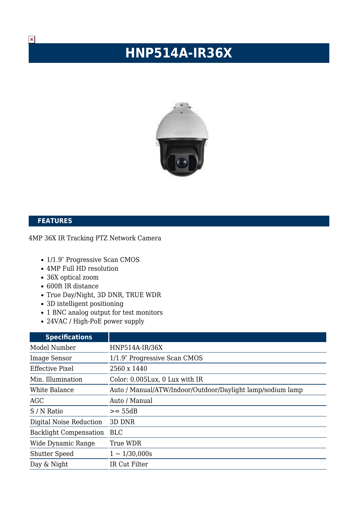## **HNP514A-IR36X**



## **FEATURES**

## 4MP 36X IR Tracking PTZ Network Camera

- 1/1.9" Progressive Scan CMOS
- 4MP Full HD resolution
- 36X optical zoom
- 600ft IR distance
- True Day/Night, 3D DNR, TRUE WDR
- 3D intelligent positioning
- 1 BNC analog output for test monitors
- 24VAC / High-PoE power supply

| <b>Specifications</b>         |                                                            |
|-------------------------------|------------------------------------------------------------|
| Model Number                  | HNP514A-IR/36X                                             |
| <b>Image Sensor</b>           | 1/1.9" Progressive Scan CMOS                               |
| <b>Effective Pixel</b>        | 2560 x 1440                                                |
| Min. Illumination             | Color: 0.005Lux, 0 Lux with IR                             |
| White Balance                 | Auto / Manual/ATW/Indoor/Outdoor/Daylight lamp/sodium lamp |
| AGC                           | Auto / Manual                                              |
| S / N Ratio                   | $>= 55dB$                                                  |
| Digital Noise Reduction       | 3D DNR                                                     |
| <b>Backlight Compensation</b> | <b>BLC</b>                                                 |
| Wide Dynamic Range            | True WDR                                                   |
| <b>Shutter Speed</b>          | $1 \sim 1/30,000s$                                         |
| Day & Night                   | IR Cut Filter                                              |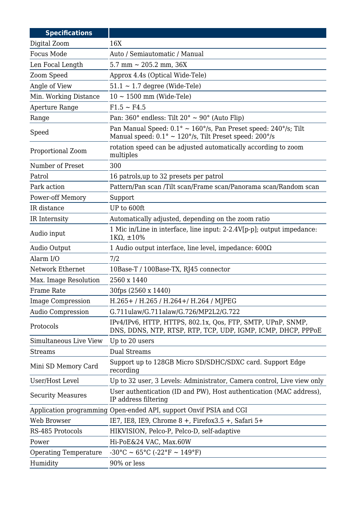| <b>Specifications</b>        |                                                                                                                                                                   |
|------------------------------|-------------------------------------------------------------------------------------------------------------------------------------------------------------------|
| Digital Zoom                 | 16X                                                                                                                                                               |
| <b>Focus Mode</b>            | Auto / Semiautomatic / Manual                                                                                                                                     |
| Len Focal Length             | 5.7 mm $\sim$ 205.2 mm, 36X                                                                                                                                       |
| Zoom Speed                   | Approx 4.4s (Optical Wide-Tele)                                                                                                                                   |
| Angle of View                | $51.1 \sim 1.7$ degree (Wide-Tele)                                                                                                                                |
| Min. Working Distance        | $10 \sim 1500$ mm (Wide-Tele)                                                                                                                                     |
| Aperture Range               | $F1.5 \sim F4.5$                                                                                                                                                  |
| Range                        | Pan: 360° endless: Tilt 20° ~ 90° (Auto Flip)                                                                                                                     |
| Speed                        | Pan Manual Speed: $0.1^{\circ} \sim 160^{\circ}/s$ , Pan Preset speed: 240°/s; Tilt<br>Manual speed: $0.1^{\circ} \sim 120^{\circ}/s$ , Tilt Preset speed: 200°/s |
| Proportional Zoom            | rotation speed can be adjusted automatically according to zoom<br>multiples                                                                                       |
| Number of Preset             | 300                                                                                                                                                               |
| Patrol                       | 16 patrols, up to 32 presets per patrol                                                                                                                           |
| Park action                  | Pattern/Pan scan /Tilt scan/Frame scan/Panorama scan/Random scan                                                                                                  |
| Power-off Memory             | Support                                                                                                                                                           |
| IR distance                  | UP to 600ft                                                                                                                                                       |
| IR Internsity                | Automatically adjusted, depending on the zoom ratio                                                                                                               |
| Audio input                  | 1 Mic in/Line in interface, line input: 2-2.4V[p-p]; output impedance:<br>$1K\Omega$ , $\pm 10\%$                                                                 |
| Audio Output                 | 1 Audio output interface, line level, impedance: $600\Omega$                                                                                                      |
| Alarm I/O                    | 7/2                                                                                                                                                               |
| Network Ethernet             | 10Base-T / 100Base-TX, RJ45 connector                                                                                                                             |
| Max. Image Resolution        | 2560 x 1440                                                                                                                                                       |
| Frame Rate                   | 30fps (2560 x 1440)                                                                                                                                               |
| <b>Image Compression</b>     | H.265+/H.265/H.264+/H.264/MJPEG                                                                                                                                   |
| <b>Audio Compression</b>     | G.711ulaw/G.711alaw/G.726/MP2L2/G.722                                                                                                                             |
| Protocols                    | IPv4/IPv6, HTTP, HTTPS, 802.1x, Qos, FTP, SMTP, UPnP, SNMP,<br>DNS, DDNS, NTP, RTSP, RTP, TCP, UDP, IGMP, ICMP, DHCP, PPPOE                                       |
| Simultaneous Live View       | Up to 20 users                                                                                                                                                    |
| <b>Streams</b>               | <b>Dual Streams</b>                                                                                                                                               |
| Mini SD Memory Card          | Support up to 128GB Micro SD/SDHC/SDXC card. Support Edge<br>recording                                                                                            |
| User/Host Level              | Up to 32 user, 3 Levels: Administrator, Camera control, Live view only                                                                                            |
| <b>Security Measures</b>     | User authentication (ID and PW), Host authentication (MAC address),<br>IP address filtering                                                                       |
|                              | Application programming Open-ended API, support Onvif PSIA and CGI                                                                                                |
| Web Browser                  | IE7, IE8, IE9, Chrome $8 +$ , Firefox $3.5 +$ , Safari $5+$                                                                                                       |
| RS-485 Protocols             | HIKVISION, Pelco-P, Pelco-D, self-adaptive                                                                                                                        |
| Power                        | Hi-PoE&24 VAC, Max.60W                                                                                                                                            |
| <b>Operating Temperature</b> | $-30^{\circ}$ C ~ 65°C ( $-22^{\circ}$ F ~ 149°F)                                                                                                                 |
| Humidity                     | 90% or less                                                                                                                                                       |